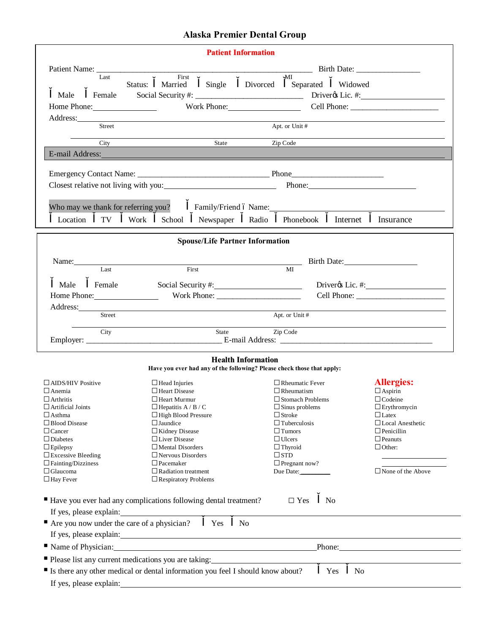## **Alaska Premier Dental Group**

| <b>Patient Information</b>                                                                     |                                                                                                          |         |                                                           |                                                                                                                                                                                                                                |                           |                                                                                                                |                       |                                                                                                                                                                                                                                |
|------------------------------------------------------------------------------------------------|----------------------------------------------------------------------------------------------------------|---------|-----------------------------------------------------------|--------------------------------------------------------------------------------------------------------------------------------------------------------------------------------------------------------------------------------|---------------------------|----------------------------------------------------------------------------------------------------------------|-----------------------|--------------------------------------------------------------------------------------------------------------------------------------------------------------------------------------------------------------------------------|
|                                                                                                |                                                                                                          |         |                                                           |                                                                                                                                                                                                                                |                           |                                                                                                                |                       |                                                                                                                                                                                                                                |
|                                                                                                | Last                                                                                                     | Status: | First<br>Married                                          |                                                                                                                                                                                                                                |                           | MI<br>Single Divorced Separated Widowed                                                                        |                       |                                                                                                                                                                                                                                |
| Male                                                                                           | Female                                                                                                   |         |                                                           |                                                                                                                                                                                                                                |                           |                                                                                                                |                       |                                                                                                                                                                                                                                |
|                                                                                                |                                                                                                          |         |                                                           |                                                                                                                                                                                                                                |                           |                                                                                                                |                       | Work Phone: Cell Phone: Cell Phone:                                                                                                                                                                                            |
| Home Phone:                                                                                    |                                                                                                          |         |                                                           |                                                                                                                                                                                                                                |                           |                                                                                                                |                       |                                                                                                                                                                                                                                |
|                                                                                                | <b>Street</b>                                                                                            |         |                                                           |                                                                                                                                                                                                                                |                           | Apt. or Unit #                                                                                                 |                       |                                                                                                                                                                                                                                |
|                                                                                                |                                                                                                          |         |                                                           |                                                                                                                                                                                                                                |                           |                                                                                                                |                       |                                                                                                                                                                                                                                |
|                                                                                                |                                                                                                          |         |                                                           | City State                                                                                                                                                                                                                     |                           | Zip Code                                                                                                       |                       |                                                                                                                                                                                                                                |
|                                                                                                |                                                                                                          |         |                                                           |                                                                                                                                                                                                                                |                           | E-mail Address: Note and Address and Address and Address and Address and Address and Address and Address and A |                       |                                                                                                                                                                                                                                |
|                                                                                                |                                                                                                          |         |                                                           |                                                                                                                                                                                                                                |                           |                                                                                                                |                       |                                                                                                                                                                                                                                |
| Closest relative not living with you:                                                          |                                                                                                          |         |                                                           |                                                                                                                                                                                                                                |                           |                                                                                                                |                       | Phone:                                                                                                                                                                                                                         |
|                                                                                                |                                                                                                          |         |                                                           |                                                                                                                                                                                                                                |                           |                                                                                                                |                       |                                                                                                                                                                                                                                |
| Who may we thank for referring you?                                                            |                                                                                                          |         |                                                           |                                                                                                                                                                                                                                |                           |                                                                                                                |                       | Family/Friend 6 Name: Name: Name: Name: Name: Name: Name: Name: Name: Name: Name: Name: Name: Name: Name: Name: Name: Name: Name: Name: Name: Name: Name: Name: Name: Name: Name: Name: Name: Name: Name: Name: Name: Name: Na |
| Location                                                                                       | TV                                                                                                       | Work    | School                                                    | Newspaper                                                                                                                                                                                                                      |                           | Radio Phonebook                                                                                                | Internet              | Insurance                                                                                                                                                                                                                      |
|                                                                                                |                                                                                                          |         |                                                           | <b>Spouse/Life Partner Information</b>                                                                                                                                                                                         |                           |                                                                                                                |                       |                                                                                                                                                                                                                                |
|                                                                                                |                                                                                                          |         |                                                           |                                                                                                                                                                                                                                |                           |                                                                                                                |                       |                                                                                                                                                                                                                                |
|                                                                                                |                                                                                                          |         |                                                           | Name: Last First MI                                                                                                                                                                                                            |                           |                                                                                                                |                       | Birth Date:                                                                                                                                                                                                                    |
|                                                                                                |                                                                                                          |         |                                                           |                                                                                                                                                                                                                                |                           |                                                                                                                |                       |                                                                                                                                                                                                                                |
| Male Female                                                                                    |                                                                                                          |         |                                                           | Social Security #: 1997                                                                                                                                                                                                        |                           |                                                                                                                |                       |                                                                                                                                                                                                                                |
| Home Phone:                                                                                    |                                                                                                          |         |                                                           |                                                                                                                                                                                                                                |                           |                                                                                                                |                       |                                                                                                                                                                                                                                |
|                                                                                                | Street                                                                                                   |         |                                                           | Address: No. 1986. The Committee of the Committee of the Committee of the Committee of the Committee of the Committee of the Committee of the Committee of the Committee of the Committee of the Committee of the Committee of |                           | Apt. or Unit #                                                                                                 |                       |                                                                                                                                                                                                                                |
|                                                                                                |                                                                                                          |         |                                                           |                                                                                                                                                                                                                                |                           |                                                                                                                |                       |                                                                                                                                                                                                                                |
|                                                                                                | City                                                                                                     |         |                                                           | State                                                                                                                                                                                                                          |                           | Zip Code                                                                                                       |                       |                                                                                                                                                                                                                                |
|                                                                                                |                                                                                                          |         |                                                           |                                                                                                                                                                                                                                |                           |                                                                                                                |                       |                                                                                                                                                                                                                                |
|                                                                                                |                                                                                                          |         |                                                           |                                                                                                                                                                                                                                | <b>Health Information</b> | Have you ever had any of the following? Please check those that apply:                                         |                       |                                                                                                                                                                                                                                |
|                                                                                                |                                                                                                          |         |                                                           |                                                                                                                                                                                                                                |                           |                                                                                                                |                       |                                                                                                                                                                                                                                |
| $\Box$ AIDS/HIV Positive<br>$\Box$ Anemia                                                      |                                                                                                          |         | $\Box$ Head Injuries<br>$\Box$ Heart Disease              |                                                                                                                                                                                                                                |                           | $\Box$ Rheumatic Fever<br>$\Box$ Rheumatism                                                                    |                       | <b>Allergies:</b><br>$\Box$ Aspirin                                                                                                                                                                                            |
| $\Box$ Arthritis                                                                               |                                                                                                          |         | $\Box$ Heart Murmur                                       |                                                                                                                                                                                                                                |                           | $\Box$ Stomach Problems                                                                                        |                       | $\Box$ Codeine                                                                                                                                                                                                                 |
| $\Box$ Artificial Joints                                                                       |                                                                                                          |         | $\Box$ Hepatitis A / B / C                                |                                                                                                                                                                                                                                |                           | $\square$ Sinus problems                                                                                       |                       | $\square$ Erythromycin                                                                                                                                                                                                         |
| $\Box$ Asthma                                                                                  |                                                                                                          |         | $\Box$ High Blood Pressure                                |                                                                                                                                                                                                                                |                           | $\Box$ Stroke                                                                                                  |                       | $\Box$ Latex                                                                                                                                                                                                                   |
| $\Box$ Blood Disease                                                                           |                                                                                                          |         | $\Box$ Jaundice                                           |                                                                                                                                                                                                                                |                           | $\Box$ Tuberculosis                                                                                            |                       | $\Box$ Local Anesthetic                                                                                                                                                                                                        |
| $\Box$ Cancer                                                                                  |                                                                                                          |         | □ Kidney Disease                                          |                                                                                                                                                                                                                                |                           | $\Box$ Tumors                                                                                                  |                       | $\Box$ Penicillin                                                                                                                                                                                                              |
| $\Box$ Diabetes                                                                                |                                                                                                          |         | $\Box$ Liver Disease                                      |                                                                                                                                                                                                                                |                           | $\Box$ Ulcers                                                                                                  |                       | $\Box$ Peanuts                                                                                                                                                                                                                 |
| $\Box$ Epilepsy                                                                                |                                                                                                          |         | $\Box$ Mental Disorders                                   |                                                                                                                                                                                                                                |                           | $\Box$ Thyroid                                                                                                 |                       | $\Box$ Other:                                                                                                                                                                                                                  |
| $\Box$ Excessive Bleeding                                                                      |                                                                                                          |         | $\Box$ Nervous Disorders                                  |                                                                                                                                                                                                                                |                           | $\square$ STD                                                                                                  |                       |                                                                                                                                                                                                                                |
| $\Box$ Fainting/Dizziness                                                                      |                                                                                                          |         | $\Box$ Pacemaker                                          |                                                                                                                                                                                                                                |                           | $\Box$ Pregnant now?                                                                                           |                       |                                                                                                                                                                                                                                |
| $\Box$ Glaucoma<br>$\Box$ Hay Fever                                                            |                                                                                                          |         | $\Box$ Radiation treatment<br>$\Box$ Respiratory Problems |                                                                                                                                                                                                                                |                           | Due Date:                                                                                                      |                       | $\Box$ None of the Above                                                                                                                                                                                                       |
|                                                                                                |                                                                                                          |         |                                                           |                                                                                                                                                                                                                                |                           |                                                                                                                |                       |                                                                                                                                                                                                                                |
| ■ Have you ever had any complications following dental treatment?                              |                                                                                                          |         |                                                           |                                                                                                                                                                                                                                |                           | $\Box$ Yes                                                                                                     | N <sub>0</sub>        |                                                                                                                                                                                                                                |
|                                                                                                |                                                                                                          |         |                                                           |                                                                                                                                                                                                                                |                           |                                                                                                                |                       |                                                                                                                                                                                                                                |
| If yes, please explain:<br>Are you now under the care of a physician?<br>Yes<br>N <sub>o</sub> |                                                                                                          |         |                                                           |                                                                                                                                                                                                                                |                           |                                                                                                                |                       |                                                                                                                                                                                                                                |
| If yes, please explain:                                                                        |                                                                                                          |         |                                                           |                                                                                                                                                                                                                                |                           |                                                                                                                |                       |                                                                                                                                                                                                                                |
|                                                                                                |                                                                                                          |         |                                                           |                                                                                                                                                                                                                                |                           |                                                                                                                |                       |                                                                                                                                                                                                                                |
|                                                                                                | Name of Physician: Name of Physician:<br>Phone:<br>■ Please list any current medications you are taking: |         |                                                           |                                                                                                                                                                                                                                |                           |                                                                                                                |                       |                                                                                                                                                                                                                                |
| Is there any other medical or dental information you feel I should know about?                 |                                                                                                          |         |                                                           |                                                                                                                                                                                                                                |                           |                                                                                                                | N <sub>0</sub><br>Yes |                                                                                                                                                                                                                                |
|                                                                                                |                                                                                                          |         |                                                           |                                                                                                                                                                                                                                |                           |                                                                                                                |                       |                                                                                                                                                                                                                                |
| If yes, please explain:                                                                        |                                                                                                          |         |                                                           |                                                                                                                                                                                                                                |                           |                                                                                                                |                       |                                                                                                                                                                                                                                |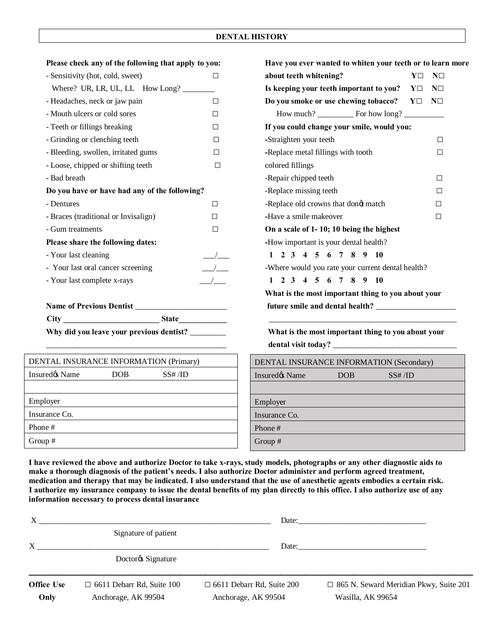| Please check any of the following that apply to you: |                                  | Have you ever wanted to whiten your teeth or to learn m                   |                          |  |  |
|------------------------------------------------------|----------------------------------|---------------------------------------------------------------------------|--------------------------|--|--|
| - Sensitivity (hot, cold, sweet)                     | $\Box$                           | about teeth whitening?                                                    | $Y\square$<br>$N\square$ |  |  |
| Where? UR, LR, UL, LL How Long?                      |                                  | Is keeping your teeth important to you?<br>$Y\square$<br>$N\square$       |                          |  |  |
| - Headaches, neck or jaw pain                        | $\Box$                           | Do you smoke or use chewing tobacco?                                      | $Y\square$<br>$N\square$ |  |  |
| - Mouth ulcers or cold sores                         | $\Box$                           |                                                                           |                          |  |  |
| - Teeth or fillings breaking                         | $\Box$                           | If you could change your smile, would you:                                |                          |  |  |
| - Grinding or clenching teeth                        | $\Box$                           | -Straighten your teeth<br>$\Box$                                          |                          |  |  |
| - Bleeding, swollen, irritated gums                  | $\Box$                           | -Replace metal fillings with tooth<br>$\Box$                              |                          |  |  |
| - Loose, chipped or shifting teeth<br>$\Box$         |                                  | colored fillings                                                          |                          |  |  |
| - Bad breath                                         |                                  | -Repair chipped teeth<br>$\Box$                                           |                          |  |  |
| Do you have or have had any of the following?        |                                  | -Replace missing teeth<br>□                                               |                          |  |  |
| - Dentures                                           | $\Box$                           | -Replace old crowns that dongt match                                      | П                        |  |  |
| - Braces (traditional or Invisalign)                 | $\Box$                           | -Have a smile makeover<br>$\Box$                                          |                          |  |  |
| - Gum treatments                                     | $\Box$                           | On a scale of 1-10; 10 being the highest                                  |                          |  |  |
| Please share the following dates:                    |                                  | -How important is your dental health?                                     |                          |  |  |
| - Your last cleaning                                 | $\overline{\phantom{a}}$         | 1 2 3 4 5 6 7 8 9 10                                                      |                          |  |  |
| - Your last oral cancer screening                    | $\frac{1}{\sqrt{1-\frac{1}{2}}}$ | -Where would you rate your current dental health?                         |                          |  |  |
| - Your last complete x-rays                          | $\frac{1}{2}$                    | $1$ 2 3 4 5 6 7 8 9 10                                                    |                          |  |  |
|                                                      |                                  | What is the most important thing to you about your                        |                          |  |  |
|                                                      |                                  |                                                                           |                          |  |  |
|                                                      |                                  |                                                                           |                          |  |  |
| Why did you leave your previous dentist? _______     |                                  | What is the most important thing to you about your<br>dental visit today? |                          |  |  |

| DENTAL INSURANCE INFORMATION (Primary) |            |          |  |  |  |
|----------------------------------------|------------|----------|--|--|--|
| Insuredos Name                         | <b>DOB</b> | SS# / ID |  |  |  |
|                                        |            |          |  |  |  |
| Employer                               |            |          |  |  |  |
| Insurance Co.                          |            |          |  |  |  |
| Phone#                                 |            |          |  |  |  |
| Group #                                |            |          |  |  |  |

| Please check any of the following that apply to you: |                          | Have you ever wanted to whiten your teeth or to learn more                 |  |  |  |
|------------------------------------------------------|--------------------------|----------------------------------------------------------------------------|--|--|--|
| - Sensitivity (hot, cold, sweet)                     | □                        | about teeth whitening?<br>$Y\square$<br>$N\square$                         |  |  |  |
|                                                      |                          | Is keeping your teeth important to you?<br>$N\square$<br>$Y\square$        |  |  |  |
| - Headaches, neck or jaw pain                        | □                        | Do you smoke or use chewing tobacco?<br>$N\square$<br>$\mathbf{Y} \square$ |  |  |  |
| - Mouth ulcers or cold sores                         | $\Box$                   |                                                                            |  |  |  |
| - Teeth or fillings breaking                         | □                        | If you could change your smile, would you:                                 |  |  |  |
| - Grinding or clenching teeth<br>□                   |                          | -Straighten your teeth<br>□                                                |  |  |  |
| - Bleeding, swollen, irritated gums<br>$\Box$        |                          | -Replace metal fillings with tooth<br>$\Box$                               |  |  |  |
| - Loose, chipped or shifting teeth<br>$\Box$         |                          | colored fillings                                                           |  |  |  |
| - Bad breath                                         |                          | -Repair chipped teeth<br>□                                                 |  |  |  |
| Do you have or have had any of the following?        |                          | -Replace missing teeth<br>$\Box$                                           |  |  |  |
| - Dentures<br>$\Box$                                 |                          | -Replace old crowns that dongt match<br>□                                  |  |  |  |
| - Braces (traditional or Invisalign)<br>$\Box$       |                          | -Have a smile makeover<br>□                                                |  |  |  |
| - Gum treatments<br>$\Box$                           |                          | On a scale of 1-10; 10 being the highest                                   |  |  |  |
| Please share the following dates:                    |                          | -How important is your dental health?                                      |  |  |  |
| - Your last cleaning                                 | $\sqrt{2}$               | 1 2 3 4 5 6 7 8 9 10                                                       |  |  |  |
| - Your last oral cancer screening                    | $\overline{\phantom{a}}$ | -Where would you rate your current dental health?                          |  |  |  |
| - Your last complete x-rays                          | $\overline{\phantom{a}}$ | 1 2 3 4 5 6 7 8 9 10                                                       |  |  |  |
|                                                      |                          | What is the most important thing to you about your                         |  |  |  |
| Name of Previous Dentist _________                   |                          |                                                                            |  |  |  |
| City<br><b>State</b>                                 |                          |                                                                            |  |  |  |

What is the most important thing to you about your dental visit today? \_

| DENTAL INSURANCE INFORMATION (Secondary) |     |          |  |  |  |  |
|------------------------------------------|-----|----------|--|--|--|--|
| Insured <sub>o</sub> Name                | DOB | SS# / ID |  |  |  |  |
|                                          |     |          |  |  |  |  |
| Employer                                 |     |          |  |  |  |  |
| Insurance Co.                            |     |          |  |  |  |  |
| Phone#                                   |     |          |  |  |  |  |
| Group #                                  |     |          |  |  |  |  |

**I have reviewed the above and authorize Doctor to take x-rays, study models, photographs or any other diagnostic aids to make a thorough diagnosis of the patient's needs. I also authorize Doctor administer and perform agreed treatment, medication and therapy that may be indicated. I also understand that the use of anesthetic agents embodies a certain risk. I authorize my insurance company to issue the dental benefits of my plan directly to this office. I also authorize use of any information necessary to process dental insurance** 

|                   |                                            | Date:                            |                                               |
|-------------------|--------------------------------------------|----------------------------------|-----------------------------------------------|
|                   | Signature of patient                       |                                  |                                               |
|                   |                                            |                                  | Date:                                         |
|                   | Doctor <sub>os</sub> Signature             |                                  |                                               |
|                   |                                            |                                  |                                               |
| <b>Office Use</b> | $\Box$ 6611 Debarr Rd, Suite 100           | $\Box$ 6611 Debarr Rd, Suite 200 | $\Box$ 865 N. Seward Meridian Pkwy, Suite 201 |
| Only              | Anchorage, AK 99504<br>Anchorage, AK 99504 |                                  | Wasilla, AK 99654                             |